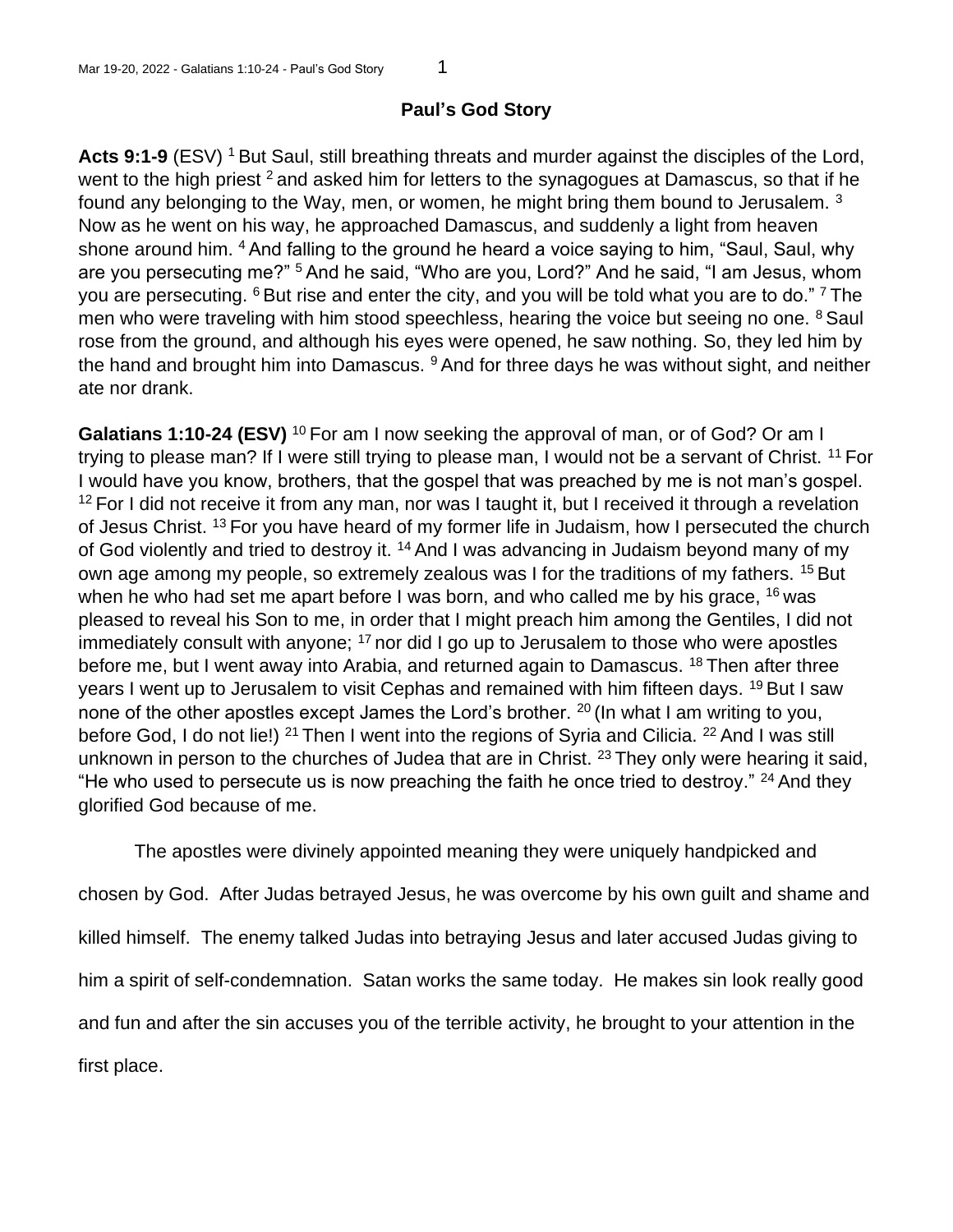## **Paul's God Story**

Acts 9:1-9 (ESV)<sup>1</sup> But Saul, still breathing threats and murder against the disciples of the Lord, went to the high priest  $2$  and asked him for letters to the synagogues at Damascus, so that if he found any belonging to the Way, men, or women, he might bring them bound to Jerusalem. <sup>3</sup> Now as he went on his way, he approached Damascus, and suddenly a light from heaven shone around him. <sup>4</sup> And falling to the ground he heard a voice saying to him, "Saul, Saul, why are you persecuting me?" <sup>5</sup> And he said, "Who are you, Lord?" And he said, "I am Jesus, whom you are persecuting.  $6$  But rise and enter the city, and you will be told what you are to do."  $7$  The men who were traveling with him stood speechless, hearing the voice but seeing no one. <sup>8</sup> Saul rose from the ground, and although his eyes were opened, he saw nothing. So, they led him by the hand and brought him into Damascus.  $9$  And for three days he was without sight, and neither ate nor drank.

Galatians 1:10-24 (ESV)<sup>10</sup> For am I now seeking the approval of man, or of God? Or am I trying to please man? If I were still trying to please man, I would not be a servant of Christ. <sup>11</sup> For I would have you know, brothers, that the gospel that was preached by me is not man's gospel.  $12$  For I did not receive it from any man, nor was I taught it, but I received it through a revelation of Jesus Christ. <sup>13</sup> For you have heard of my former life in Judaism, how I persecuted the church of God violently and tried to destroy it. <sup>14</sup> And I was advancing in Judaism beyond many of my own age among my people, so extremely zealous was I for the traditions of my fathers. <sup>15</sup> But when he who had set me apart before I was born, and who called me by his grace,  $16$  was pleased to reveal his Son to me, in order that I might preach him among the Gentiles, I did not immediately consult with anyone;  $17$  nor did I go up to Jerusalem to those who were apostles before me, but I went away into Arabia, and returned again to Damascus. <sup>18</sup> Then after three years I went up to Jerusalem to visit Cephas and remained with him fifteen days. <sup>19</sup> But I saw none of the other apostles except James the Lord's brother. <sup>20</sup> (In what I am writing to you, before God, I do not lie!) <sup>21</sup> Then I went into the regions of Syria and Cilicia. <sup>22</sup> And I was still unknown in person to the churches of Judea that are in Christ. <sup>23</sup> They only were hearing it said, "He who used to persecute us is now preaching the faith he once tried to destroy."  $24$  And they glorified God because of me.

The apostles were divinely appointed meaning they were uniquely handpicked and chosen by God. After Judas betrayed Jesus, he was overcome by his own guilt and shame and killed himself. The enemy talked Judas into betraying Jesus and later accused Judas giving to him a spirit of self-condemnation. Satan works the same today. He makes sin look really good and fun and after the sin accuses you of the terrible activity, he brought to your attention in the first place.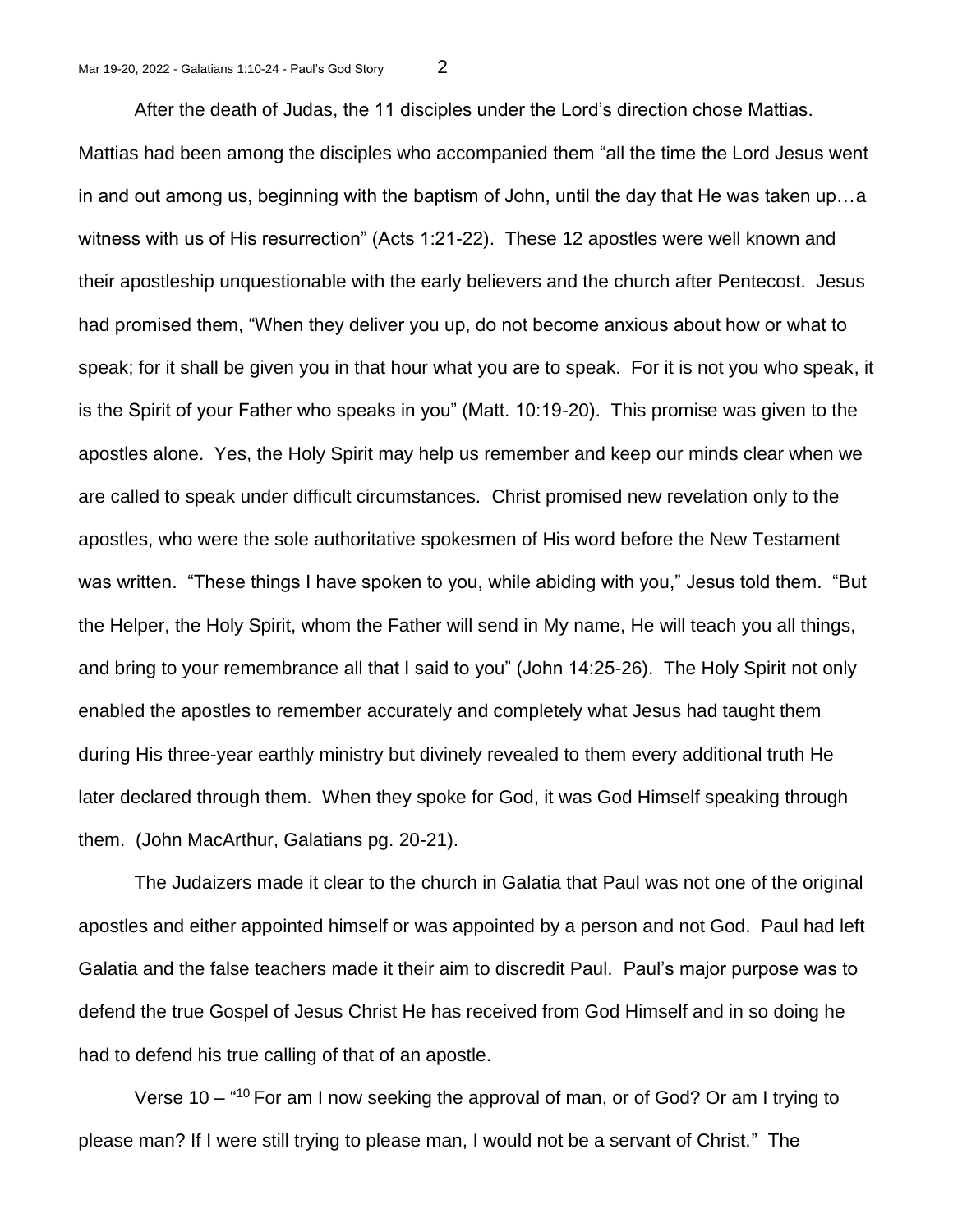After the death of Judas, the 11 disciples under the Lord's direction chose Mattias. Mattias had been among the disciples who accompanied them "all the time the Lord Jesus went in and out among us, beginning with the baptism of John, until the day that He was taken up…a witness with us of His resurrection" (Acts 1:21-22). These 12 apostles were well known and their apostleship unquestionable with the early believers and the church after Pentecost. Jesus had promised them, "When they deliver you up, do not become anxious about how or what to speak; for it shall be given you in that hour what you are to speak. For it is not you who speak, it is the Spirit of your Father who speaks in you" (Matt. 10:19-20). This promise was given to the apostles alone. Yes, the Holy Spirit may help us remember and keep our minds clear when we are called to speak under difficult circumstances. Christ promised new revelation only to the apostles, who were the sole authoritative spokesmen of His word before the New Testament was written. "These things I have spoken to you, while abiding with you," Jesus told them. "But the Helper, the Holy Spirit, whom the Father will send in My name, He will teach you all things, and bring to your remembrance all that I said to you" (John 14:25-26). The Holy Spirit not only enabled the apostles to remember accurately and completely what Jesus had taught them during His three-year earthly ministry but divinely revealed to them every additional truth He later declared through them. When they spoke for God, it was God Himself speaking through them. (John MacArthur, Galatians pg. 20-21).

The Judaizers made it clear to the church in Galatia that Paul was not one of the original apostles and either appointed himself or was appointed by a person and not God. Paul had left Galatia and the false teachers made it their aim to discredit Paul. Paul's major purpose was to defend the true Gospel of Jesus Christ He has received from God Himself and in so doing he had to defend his true calling of that of an apostle.

Verse 10 – "<sup>10</sup> For am I now seeking the approval of man, or of God? Or am I trying to please man? If I were still trying to please man, I would not be a servant of Christ." The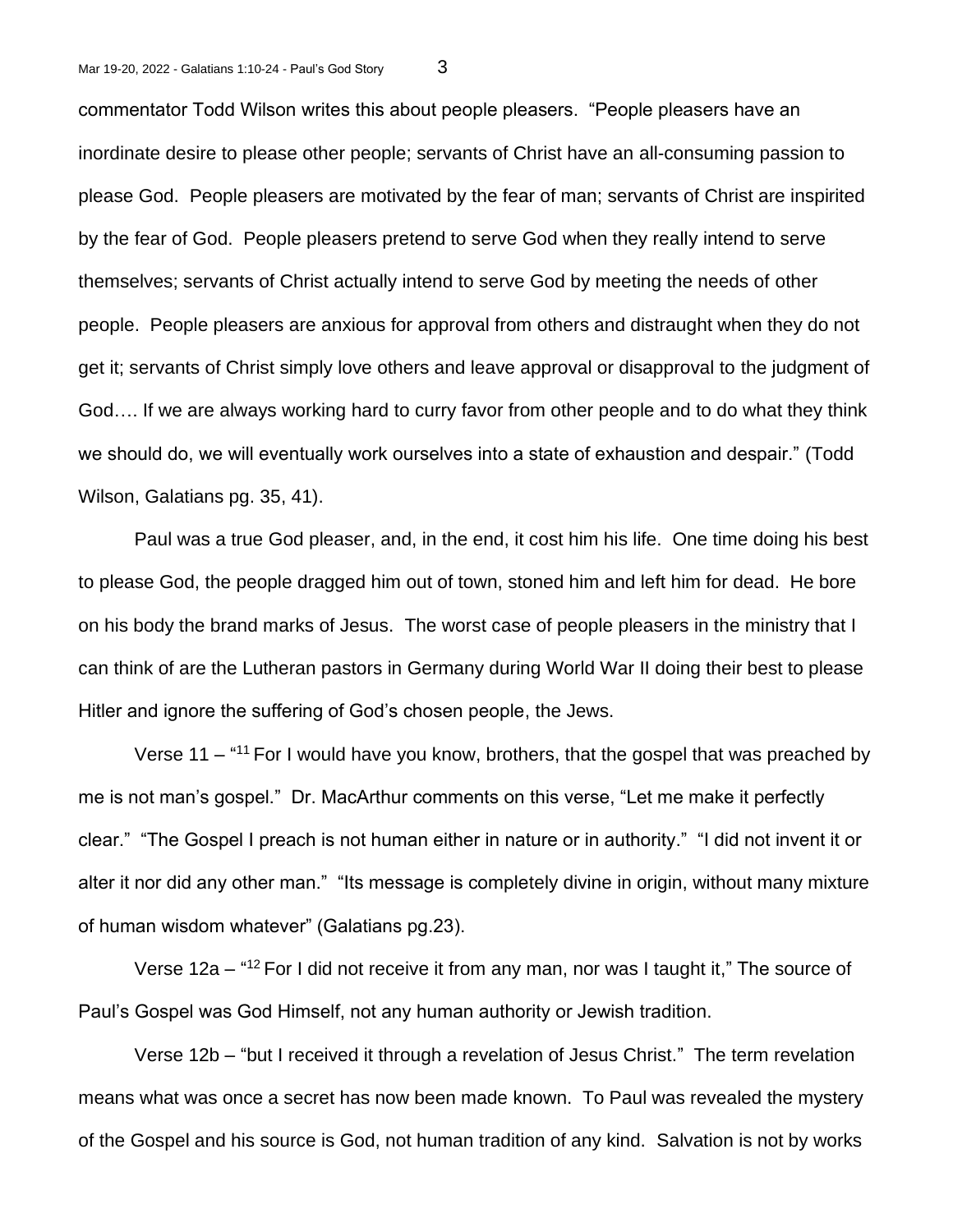commentator Todd Wilson writes this about people pleasers. "People pleasers have an inordinate desire to please other people; servants of Christ have an all-consuming passion to please God. People pleasers are motivated by the fear of man; servants of Christ are inspirited by the fear of God. People pleasers pretend to serve God when they really intend to serve themselves; servants of Christ actually intend to serve God by meeting the needs of other people. People pleasers are anxious for approval from others and distraught when they do not get it; servants of Christ simply love others and leave approval or disapproval to the judgment of God…. If we are always working hard to curry favor from other people and to do what they think we should do, we will eventually work ourselves into a state of exhaustion and despair." (Todd Wilson, Galatians pg. 35, 41).

Paul was a true God pleaser, and, in the end, it cost him his life. One time doing his best to please God, the people dragged him out of town, stoned him and left him for dead. He bore on his body the brand marks of Jesus. The worst case of people pleasers in the ministry that I can think of are the Lutheran pastors in Germany during World War II doing their best to please Hitler and ignore the suffering of God's chosen people, the Jews.

Verse 11 – "<sup>11</sup> For I would have you know, brothers, that the gospel that was preached by me is not man's gospel." Dr. MacArthur comments on this verse, "Let me make it perfectly clear." "The Gospel I preach is not human either in nature or in authority." "I did not invent it or alter it nor did any other man." "Its message is completely divine in origin, without many mixture of human wisdom whatever" (Galatians pg.23).

Verse 12a – "<sup>12</sup> For I did not receive it from any man, nor was I taught it," The source of Paul's Gospel was God Himself, not any human authority or Jewish tradition.

Verse 12b – "but I received it through a revelation of Jesus Christ." The term revelation means what was once a secret has now been made known. To Paul was revealed the mystery of the Gospel and his source is God, not human tradition of any kind. Salvation is not by works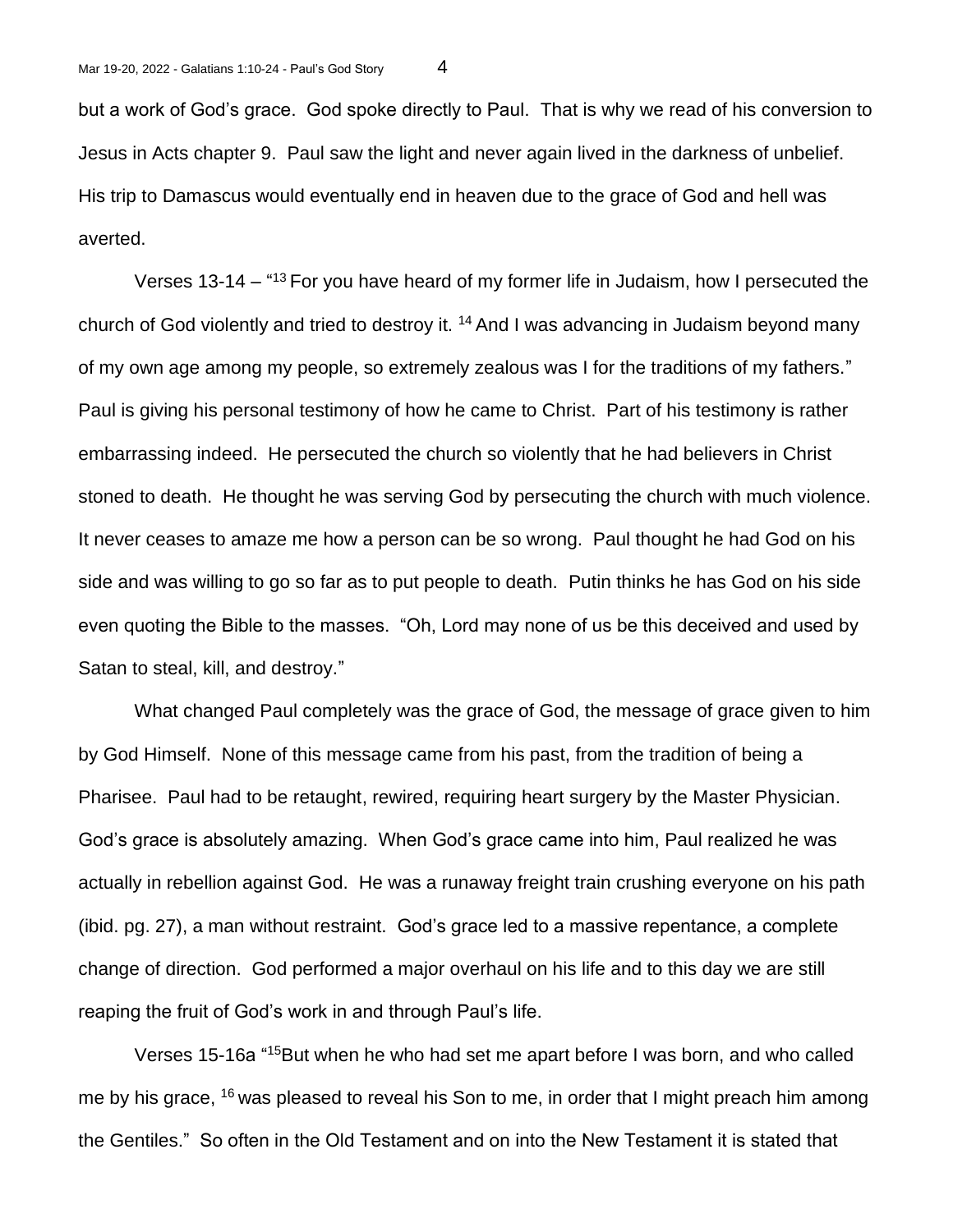but a work of God's grace. God spoke directly to Paul. That is why we read of his conversion to Jesus in Acts chapter 9. Paul saw the light and never again lived in the darkness of unbelief. His trip to Damascus would eventually end in heaven due to the grace of God and hell was averted.

Verses 13-14 – "<sup>13</sup> For you have heard of my former life in Judaism, how I persecuted the church of God violently and tried to destroy it.  $14$  And I was advancing in Judaism beyond many of my own age among my people, so extremely zealous was I for the traditions of my fathers." Paul is giving his personal testimony of how he came to Christ. Part of his testimony is rather embarrassing indeed. He persecuted the church so violently that he had believers in Christ stoned to death. He thought he was serving God by persecuting the church with much violence. It never ceases to amaze me how a person can be so wrong. Paul thought he had God on his side and was willing to go so far as to put people to death. Putin thinks he has God on his side even quoting the Bible to the masses. "Oh, Lord may none of us be this deceived and used by Satan to steal, kill, and destroy."

What changed Paul completely was the grace of God, the message of grace given to him by God Himself. None of this message came from his past, from the tradition of being a Pharisee. Paul had to be retaught, rewired, requiring heart surgery by the Master Physician. God's grace is absolutely amazing. When God's grace came into him, Paul realized he was actually in rebellion against God. He was a runaway freight train crushing everyone on his path (ibid. pg. 27), a man without restraint. God's grace led to a massive repentance, a complete change of direction. God performed a major overhaul on his life and to this day we are still reaping the fruit of God's work in and through Paul's life.

Verses 15-16a "<sup>15</sup>But when he who had set me apart before I was born, and who called me by his grace, <sup>16</sup> was pleased to reveal his Son to me, in order that I might preach him among the Gentiles." So often in the Old Testament and on into the New Testament it is stated that